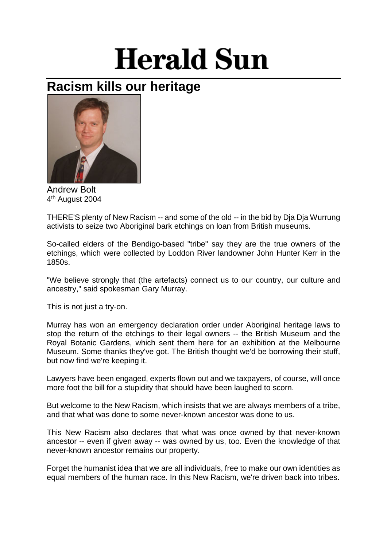## **Herald Sun**

## **Racism kills our heritage**



Andrew Bolt 4th August 2004

THERE'S plenty of New Racism -- and some of the old -- in the bid by Dja Dja Wurrung activists to seize two Aboriginal bark etchings on loan from British museums.

So-called elders of the Bendigo-based "tribe" say they are the true owners of the etchings, which were collected by Loddon River landowner John Hunter Kerr in the 1850s.

"We believe strongly that (the artefacts) connect us to our country, our culture and ancestry," said spokesman Gary Murray.

This is not just a try-on.

Murray has won an emergency declaration order under Aboriginal heritage laws to stop the return of the etchings to their legal owners -- the British Museum and the Royal Botanic Gardens, which sent them here for an exhibition at the Melbourne Museum. Some thanks they've got. The British thought we'd be borrowing their stuff, but now find we're keeping it.

Lawyers have been engaged, experts flown out and we taxpayers, of course, will once more foot the bill for a stupidity that should have been laughed to scorn.

But welcome to the New Racism, which insists that we are always members of a tribe, and that what was done to some never-known ancestor was done to us.

This New Racism also declares that what was once owned by that never-known ancestor -- even if given away -- was owned by us, too. Even the knowledge of that never-known ancestor remains our property.

Forget the humanist idea that we are all individuals, free to make our own identities as equal members of the human race. In this New Racism, we're driven back into tribes.